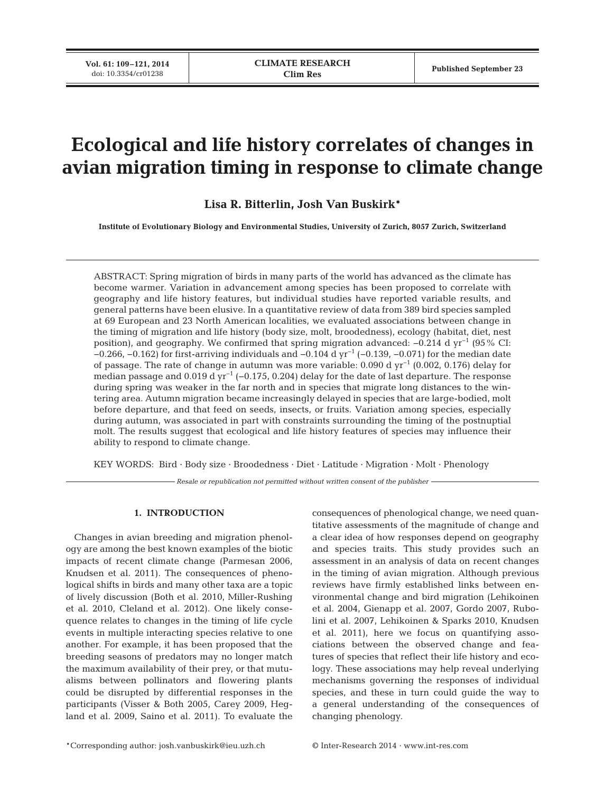# **Ecological and life history correlates of changes in avian migration timing in response to climate change**

**Lisa R. Bitterlin, Josh Van Buskirk\***

**Institute of Evolutionary Biology and Environmental Studies, University of Zurich, 8057 Zurich, Switzerland**

ABSTRACT: Spring migration of birds in many parts of the world has advanced as the climate has become warmer. Variation in advancement among species has been proposed to correlate with geography and life history features, but individual studies have reported variable results, and general patterns have been elusive. In a quantitative review of data from 389 bird species sampled at 69 European and 23 North American localities, we evaluated associations between change in the timing of migration and life history (body size, molt, broodedness), ecology (habitat, diet, nest position), and geography. We confirmed that spring migration advanced: −0.214 d yr−1 (95% CI: −0.266, −0.162) for first-arriving individuals and −0.104 d yr−1 (−0.139, −0.071) for the median date of passage. The rate of change in autumn was more variable: 0.090 d yr−1 (0.002, 0.176) delay for median passage and 0.019 d yr<sup>-1</sup> (−0.175, 0.204) delay for the date of last departure. The response during spring was weaker in the far north and in species that migrate long distances to the wintering area. Autumn migration became increasingly delayed in species that are large-bodied, molt before departure, and that feed on seeds, insects, or fruits. Variation among species, especially during autumn, was associated in part with constraints surrounding the timing of the postnuptial molt. The results suggest that ecological and life history features of species may influence their ability to respond to climate change.

KEY WORDS: Bird · Body size · Broodedness · Diet · Latitude · Migration · Molt · Phenology

*Resale or republication not permitted without written consent of the publisher*

## **1. INTRODUCTION**

Changes in avian breeding and migration phenology are among the best known examples of the biotic impacts of recent climate change (Parmesan 2006, Knudsen et al. 2011). The consequences of phenological shifts in birds and many other taxa are a topic of lively discussion (Both et al. 2010, Miller-Rushing et al. 2010, Cleland et al. 2012). One likely consequence relates to changes in the timing of life cycle events in multiple interacting species relative to one another. For example, it has been proposed that the breeding seasons of predators may no longer match the maximum availability of their prey, or that mutualisms between pollinators and flowering plants could be disrupted by differential responses in the participants (Visser & Both 2005, Carey 2009, Hegland et al. 2009, Saino et al. 2011). To evaluate the consequences of phenological change, we need quan titative assessments of the magnitude of change and a clear idea of how responses depend on geography and species traits. This study provides such an assessment in an analysis of data on recent changes in the timing of avian migration. Although previous reviews have firmly established links between environmental change and bird migration (Lehikoinen et al. 2004, Gienapp et al. 2007, Gordo 2007, Rubolini et al. 2007, Lehikoinen & Sparks 2010, Knudsen et al. 2011), here we focus on quantifying associations between the observed change and features of species that reflect their life history and ecology. These associations may help reveal underlying mechanisms governing the responses of individual species, and these in turn could guide the way to a general understanding of the consequences of changing phenology.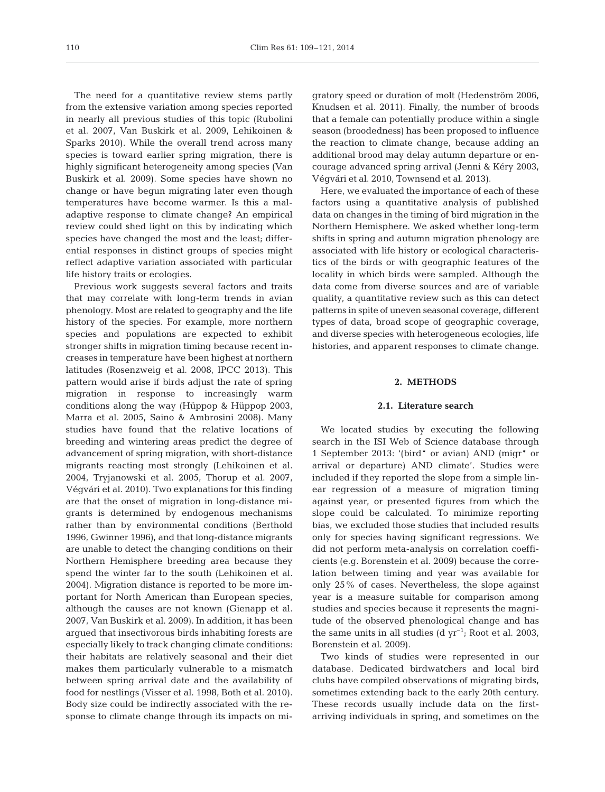The need for a quantitative review stems partly from the extensive variation among species reported in nearly all previous studies of this topic (Rubolini et al. 2007, Van Buskirk et al. 2009, Lehikoinen & Sparks 2010). While the overall trend across many species is toward earlier spring migration, there is highly significant heterogeneity among species (Van Buskirk et al. 2009). Some species have shown no change or have begun migrating later even though temperatures have become warmer. Is this a maladaptive response to climate change? An empirical review could shed light on this by indicating which species have changed the most and the least; differential responses in distinct groups of species might reflect adaptive variation associated with particular life history traits or ecologies.

Previous work suggests several factors and traits that may correlate with long-term trends in avian phenology. Most are related to geography and the life history of the species. For example, more northern species and populations are expected to exhibit stronger shifts in migration timing because recent increases in temperature have been highest at northern latitudes (Rosenzweig et al. 2008, IPCC 2013). This pattern would arise if birds adjust the rate of spring migration in response to increasingly warm conditions along the way (Hüppop & Hüppop 2003, Marra et al. 2005, Saino & Ambrosini 2008). Many studies have found that the relative locations of breeding and wintering areas predict the degree of advancement of spring migration, with short-distance migrants reacting most strongly (Lehikoinen et al. 2004, Tryjanowski et al. 2005, Thorup et al. 2007, Végvári et al. 2010). Two explanations for this finding are that the onset of migration in long-distance migrants is determined by endogenous mechanisms rather than by environmental conditions (Berthold 1996, Gwinner 1996), and that long-distance migrants are unable to detect the changing conditions on their Northern Hemisphere breeding area because they spend the winter far to the south (Lehikoinen et al. 2004). Migration distance is reported to be more important for North American than European species, although the causes are not known (Gienapp et al. 2007, Van Buskirk et al. 2009). In addition, it has been argued that insectivorous birds inhabiting forests are especially likely to track changing climate conditions: their habitats are relatively seasonal and their diet makes them particularly vulnerable to a mismatch between spring arrival date and the availability of food for nestlings (Visser et al. 1998, Both et al. 2010). Body size could be indirectly associated with the response to climate change through its impacts on migratory speed or duration of molt (Hedenström 2006, Knudsen et al. 2011). Finally, the number of broods that a female can potentially produce within a single season (broodedness) has been proposed to influence the reaction to climate change, because adding an additional brood may delay autumn departure or encourage advanced spring arrival (Jenni & Kéry 2003, Végvári et al. 2010, Townsend et al. 2013).

Here, we evaluated the importance of each of these factors using a quantitative analysis of published data on changes in the timing of bird migration in the Northern Hemisphere. We asked whether long-term shifts in spring and autumn migration phenology are associated with life history or ecological characteristics of the birds or with geographic features of the locality in which birds were sampled. Although the data come from diverse sources and are of variable quality, a quantitative review such as this can detect patterns in spite of uneven seasonal coverage, different types of data, broad scope of geographic coverage, and diverse species with heterogeneous ecologies, life histories, and apparent responses to climate change.

### **2. METHODS**

#### **2.1. Literature search**

We located studies by executing the following search in the ISI Web of Science database through 1 September 2013: '(bird\* or avian) AND (migr\* or arrival or departure) AND climate'. Studies were included if they reported the slope from a simple linear regression of a measure of migration timing against year, or presented figures from which the slope could be calculated. To minimize reporting bias, we excluded those studies that included results only for species having significant regressions. We did not perform meta-analysis on correlation coefficients (e.g. Borenstein et al. 2009) because the correlation between timing and year was available for only 25% of cases. Nevertheless, the slope against year is a measure suitable for comparison among studies and species because it represents the magnitude of the observed phenological change and has the same units in all studies (d yr<sup>-1</sup>; Root et al. 2003, Borenstein et al. 2009).

Two kinds of studies were represented in our database. Dedicated birdwatchers and local bird clubs have compiled observations of migrating birds, sometimes extending back to the early 20th century. These records usually include data on the firstarriving individuals in spring, and sometimes on the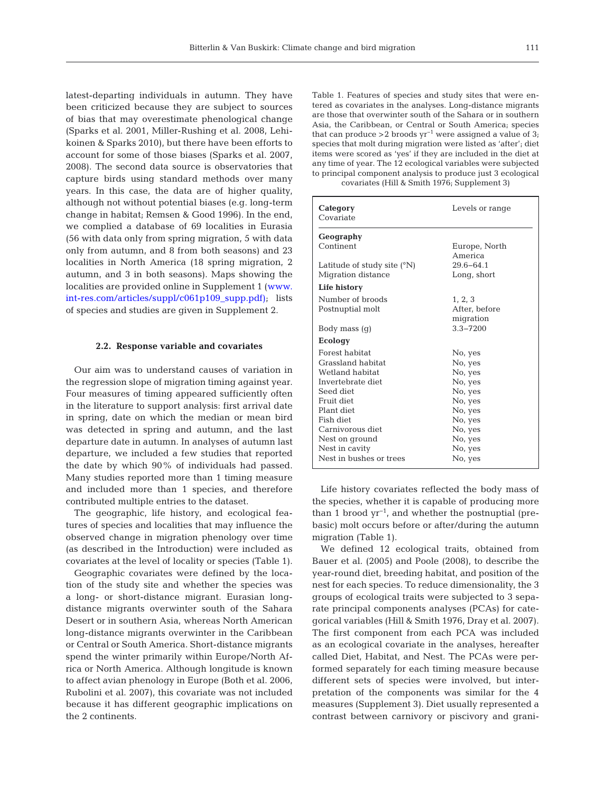latest-departing individuals in autumn. They have been criticized because they are subject to sources of bias that may overestimate phenological change (Sparks et al. 2001, Miller-Rushing et al. 2008, Lehi koinen & Sparks 2010), but there have been efforts to account for some of those biases (Sparks et al. 2007, 2008). The second data source is observatories that capture birds using standard methods over many years. In this case, the data are of higher quality, although not without potential biases (e.g. long-term change in habitat; Remsen & Good 1996). In the end, we complied a database of 69 localities in Eurasia (56 with data only from spring migration, 5 with data only from autumn, and 8 from both seasons) and 23 localities in North America (18 spring migration, 2 autumn, and 3 in both seasons). Maps showing the [localities are provided online in Supplement 1 \(www.](http://www.int-res.com/articles/suppl/c061p109_supp.pdf) int-res.com/articles/suppl/c061p109\_supp.pdf); lists of species and studies are given in Supplement 2.

#### **2.2. Response variable and covariates**

Our aim was to understand causes of variation in the regression slope of migration timing against year. Four measures of timing appeared sufficiently often in the literature to support analysis: first arrival date in spring, date on which the median or mean bird was detected in spring and autumn, and the last departure date in autumn. In analyses of autumn last departure, we included a few studies that reported the date by which 90% of individuals had passed. Many studies reported more than 1 timing measure and included more than 1 species, and therefore contributed multiple entries to the dataset.

The geographic, life history, and ecological features of species and localities that may influence the observed change in migration phenology over time (as described in the Introduction) were included as covariates at the level of locality or species (Table 1).

Geographic covariates were defined by the location of the study site and whether the species was a long- or short-distance migrant. Eurasian longdistance migrants overwinter south of the Sahara Desert or in southern Asia, whereas North American long-distance migrants overwinter in the Caribbean or Central or South America. Short-distance migrants spend the winter primarily within Europe/North Africa or North America. Although longitude is known to affect avian phenology in Europe (Both et al. 2006, Rubolini et al. 2007), this covariate was not included because it has different geographic implications on the 2 continents.

Table 1. Features of species and study sites that were entered as covariates in the analyses. Long-distance migrants are those that overwinter south of the Sahara or in southern Asia, the Caribbean, or Central or South America; species that can produce >2 broods  $\gamma r^{-1}$  were assigned a value of 3; species that molt during migration were listed as 'after'; diet items were scored as 'yes' if they are included in the diet at any time of year. The 12 ecological variables were subjected to principal component analysis to produce just 3 ecological covariates (Hill & Smith 1976; Supplement 3)

| Category<br>Covariate         | Levels or range |  |  |
|-------------------------------|-----------------|--|--|
| Geography                     |                 |  |  |
| Continent                     | Europe, North   |  |  |
|                               | America         |  |  |
| Latitude of study site $(°N)$ | $29.6 - 64.1$   |  |  |
| Migration distance            | Long, short     |  |  |
| Life history                  |                 |  |  |
| Number of broods              | 1, 2, 3         |  |  |
| Postnuptial molt              | After, before   |  |  |
|                               | migration       |  |  |
| Body mass (q)                 | $3.3 - 7200$    |  |  |
| Ecology                       |                 |  |  |
| Forest habitat                | No, yes         |  |  |
| Grassland habitat             | No, yes         |  |  |
| Wetland habitat               | No, yes         |  |  |
| Invertebrate diet             | No, yes         |  |  |
| Seed diet                     | No, yes         |  |  |
| Fruit diet                    | No, yes         |  |  |
| Plant diet                    | No, yes         |  |  |
| Fish diet                     | No, yes         |  |  |
| Carnivorous diet              | No, yes         |  |  |
| Nest on ground                | No, yes         |  |  |
| Nest in cavity                | No, yes         |  |  |
| Nest in bushes or trees       | No, yes         |  |  |

Life history covariates reflected the body mass of the species, whether it is capable of producing more than 1 brood  $yr^{-1}$ , and whether the postnuptial (prebasic) molt occurs before or after/during the autumn migration (Table 1).

We defined 12 ecological traits, obtained from Bauer et al. (2005) and Poole (2008), to describe the year-round diet, breeding habitat, and position of the nest for each species. To reduce dimensionality, the 3 groups of ecological traits were subjected to 3 separate principal components analyses (PCAs) for categorical variables (Hill & Smith 1976, Dray et al. 2007). The first component from each PCA was included as an ecological covariate in the analyses, hereafter called Diet, Habitat, and Nest. The PCAs were performed separately for each timing measure because different sets of species were involved, but interpretation of the components was similar for the 4 measures (Supplement 3). Diet usually represented a contrast between carnivory or piscivory and grani -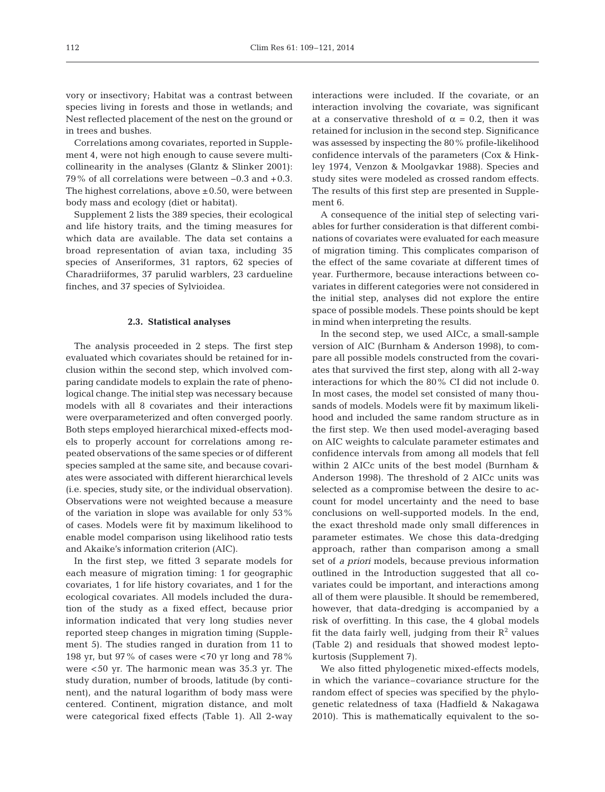vory or insectivory; Habitat was a contrast between species living in forests and those in wetlands; and Nest reflected placement of the nest on the ground or in trees and bushes.

Correlations among covariates, reported in Supplement 4, were not high enough to cause severe multicollinearity in the analyses (Glantz & Slinker 2001): 79% of all correlations were between −0.3 and +0.3. The highest correlations, above  $\pm 0.50$ , were between body mass and ecology (diet or habitat).

Supplement 2 lists the 389 species, their ecological and life history traits, and the timing measures for which data are available. The data set contains a broad representation of avian taxa, including 35 species of Anseriformes, 31 raptors, 62 species of Charadriiformes, 37 parulid warblers, 23 cardueline finches, and 37 species of Sylvioidea.

#### **2.3. Statistical analyses**

The analysis proceeded in 2 steps. The first step evaluated which covariates should be retained for inclusion within the second step, which involved comparing candidate models to explain the rate of phenological change. The initial step was necessary because models with all 8 covariates and their interactions were overparameterized and often converged poorly. Both steps employed hierarchical mixed-effects models to properly account for correlations among repeated observations of the same species or of different species sampled at the same site, and because covariates were associated with different hierarchical levels (i.e. species, study site, or the individual observation). Observations were not weighted because a measure of the variation in slope was available for only 53% of cases. Models were fit by maximum likelihood to enable model comparison using likelihood ratio tests and Akaike's information criterion (AIC).

In the first step, we fitted 3 separate models for each measure of migration timing: 1 for geographic covariates, 1 for life history covariates, and 1 for the ecological covariates. All models included the duration of the study as a fixed effect, because prior information indicated that very long studies never reported steep changes in migration timing (Supplement 5). The studies ranged in duration from 11 to 198 yr, but 97% of cases were  $<$  70 yr long and 78% were <50 yr. The harmonic mean was 35.3 yr. The study duration, number of broods, latitude (by continent), and the natural logarithm of body mass were centered. Continent, migration distance, and molt were categorical fixed effects (Table 1). All 2-way

interactions were included. If the covariate, or an interaction involving the covariate, was significant at a conservative threshold of  $\alpha = 0.2$ , then it was retained for inclusion in the second step. Significance was assessed by inspecting the 80% profile-likelihood confidence intervals of the parameters (Cox & Hinkley 1974, Venzon & Moolgavkar 1988). Species and study sites were modeled as crossed random effects. The results of this first step are presented in Supplement 6.

A consequence of the initial step of selecting variables for further consideration is that different combinations of covariates were evaluated for each measure of migration timing. This complicates comparison of the effect of the same covariate at different times of year. Furthermore, because interactions between covariates in different categories were not considered in the initial step, analyses did not explore the entire space of possible models. These points should be kept in mind when interpreting the results.

In the second step, we used AICc, a small-sample version of AIC (Burnham & Anderson 1998), to compare all possible models constructed from the covariates that survived the first step, along with all 2-way interactions for which the 80% CI did not include 0. In most cases, the model set consisted of many thousands of models. Models were fit by maximum likelihood and included the same random structure as in the first step. We then used model-averaging based on AIC weights to calculate parameter estimates and confidence intervals from among all models that fell within 2 AICc units of the best model (Burnham & Anderson 1998). The threshold of 2 AICc units was selected as a compromise between the desire to account for model uncertainty and the need to base conclusions on well-supported models. In the end, the exact threshold made only small differences in parameter estimates. We chose this data-dredging approach, rather than comparison among a small set of *a priori* models, because previous information outlined in the Introduction suggested that all covariates could be important, and interactions among all of them were plausible. It should be remembered, however, that data-dredging is accompanied by a risk of overfitting. In this case, the 4 global models fit the data fairly well, judging from their  $\mathbb{R}^2$  values (Table 2) and residuals that showed modest lepto kurtosis (Supplement 7).

We also fitted phylogenetic mixed-effects models, in which the variance–covariance structure for the random effect of species was specified by the phylogenetic relatedness of taxa (Hadfield & Nakagawa 2010). This is mathematically equivalent to the so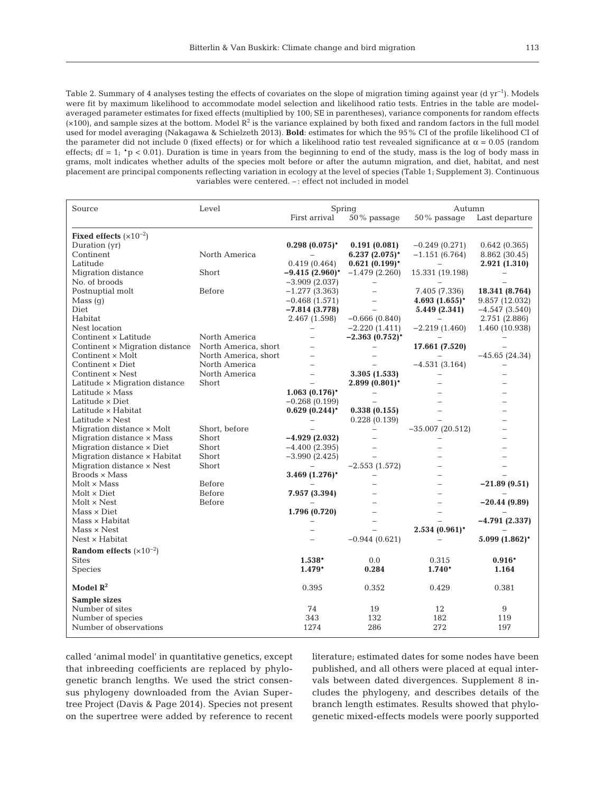Table 2. Summary of 4 analyses testing the effects of covariates on the slope of migration timing against year (d yr<sup>−1</sup>). Models were fit by maximum likelihood to accommodate model selection and likelihood ratio tests. Entries in the table are modelaveraged parameter estimates for fixed effects (multiplied by 100; SE in parentheses), variance components for random effects  $(x100)$ , and sample sizes at the bottom. Model  $R^2$  is the variance explained by both fixed and random factors in the full model used for model averaging (Nakagawa & Schielzeth 2013). **Bold**: estimates for which the 95% CI of the profile likelihood CI of the parameter did not include 0 (fixed effects) or for which a likelihood ratio test revealed significance at  $\alpha = 0.05$  (random effects;  $df = 1$ ;  $'p < 0.01$ ). Duration is time in years from the beginning to end of the study, mass is the log of body mass in grams, molt indicates whether adults of the species molt before or after the autumn migration, and diet, habitat, and nest placement are principal components reflecting variation in ecology at the level of species (Table 1; Supplement 3). Continuous variables were centered. – : effect not included in model

| Source                                              | Level                | Spring                   |                          | Autumn                   |                  |
|-----------------------------------------------------|----------------------|--------------------------|--------------------------|--------------------------|------------------|
|                                                     |                      | First arrival            | 50% passage              | $50\%$ passage           | Last departure   |
| Fixed effects $(x10^{-2})$                          |                      |                          |                          |                          |                  |
| Duration (yr)                                       |                      | $0.298(0.075)^*$         | 0.191(0.081)             | $-0.249(0.271)$          | 0.642(0.365)     |
| Continent                                           | North America        |                          | $6.237(2.075)^*$         | $-1.151(6.764)$          | 8.862 (30.45)    |
| Latitude                                            |                      | 0.419(0.464)             | $0.621(0.199)^*$         |                          | 2.921 (1.310)    |
| Migration distance                                  | Short                | $-9.415(2.960)^*$        | $-1.479(2.260)$          | 15.331 (19.198)          |                  |
| No. of broods                                       |                      | $-3.909(2.037)$          | $\qquad \qquad -$        |                          |                  |
| Postnuptial molt                                    | Before               | $-1.277(3.363)$          | $\overline{\phantom{0}}$ | 7.405 (7.336)            | 18.341 (8.764)   |
| Mass <sub>(q)</sub>                                 |                      | $-0.468(1.571)$          | $\equiv$                 | $4.693(1.655)^*$         | 9.857 (12.032)   |
| Diet                                                |                      | $-7.814(3.778)$          |                          | 5.449 (2.341)            | $-4.547(3.540)$  |
| Habitat                                             |                      | 2.467 (1.598)            | $-0.666(0.840)$          |                          | 2.751 (2.886)    |
| Nest location                                       |                      | $\overline{\phantom{0}}$ | $-2.220(1.411)$          | $-2.219(1.460)$          | 1.460 (10.938)   |
| Continent × Latitude                                | North America        | $\equiv$                 | $-2.363(0.752)^*$        |                          |                  |
| Continent × Migration distance North America, short |                      | $\equiv$                 |                          | 17.661 (7.520)           |                  |
| Continent × Molt                                    | North America, short | L.                       | $\equiv$                 |                          | $-45.65(24.34)$  |
| Continent × Diet                                    | North America        | $\equiv$                 |                          | $-4.531(3.164)$          |                  |
| Continent × Nest                                    | North America        | $\overline{\phantom{0}}$ | 3.305 (1.533)            |                          |                  |
| Latitude × Migration distance                       | Short                | $\overline{a}$           | $2.899(0.801)^*$         |                          |                  |
| Latitude $\times$ Mass                              |                      | $1.063(0.176)$ *         |                          |                          |                  |
| Latitude $\times$ Diet                              |                      | $-0.268(0.199)$          |                          |                          |                  |
| Latitude × Habitat                                  |                      | $0.629(0.244)$ *         | 0.338(0.155)             |                          |                  |
| Latitude $\times$ Nest                              |                      |                          | 0.228(0.139)             |                          |                  |
| Migration distance × Molt                           | Short, before        |                          |                          | $-35.007(20.512)$        |                  |
| Migration distance × Mass                           | Short                | $-4.929(2.032)$          | L,                       |                          |                  |
| Migration distance × Diet                           | Short                | $-4.400(2.395)$          | $\equiv$                 |                          |                  |
| Migration distance x Habitat                        | Short                | $-3.990(2.425)$          | $\equiv$                 |                          |                  |
| Migration distance x Nest                           | Short                |                          | $-2.553(1.572)$          |                          |                  |
| $Broods \times Mass$                                |                      | $3.469(1.276)$ *         | $\overline{\phantom{0}}$ |                          |                  |
| $Molt \times Mass$                                  | Before               |                          |                          | $=$                      | $-21.89(9.51)$   |
| $Molt \times Diet$                                  | Before               | 7.957 (3.394)            |                          | $\equiv$                 |                  |
| $Molt \times Nest$                                  | Before               |                          |                          | $\overline{\phantom{0}}$ | $-20.44(9.89)$   |
| $Mass \times Diet$                                  |                      | 1.796 (0.720)            |                          |                          |                  |
| $Mass \times Habitat$                               |                      |                          | L.                       |                          | $-4.791(2.337)$  |
| $Mass \times Nest$                                  |                      |                          |                          | $2.534(0.961)^*$         |                  |
| Nest × Habitat                                      |                      |                          | $-0.944(0.621)$          |                          | $5.099(1.862)$ * |
| Random effects $(x10^{-2})$                         |                      |                          |                          |                          |                  |
| <b>Sites</b>                                        |                      | $1.538*$                 | 0.0                      | 0.315                    | $0.916*$         |
| Species                                             |                      | 1.479*                   | 0.284                    | $1.740*$                 | 1.164            |
| Model $\mathbb{R}^2$                                |                      | 0.395                    | 0.352                    | 0.429                    | 0.381            |
| Sample sizes                                        |                      |                          |                          |                          |                  |
| Number of sites                                     |                      | 74                       | 19                       | 12                       | 9                |
| Number of species                                   |                      | 343                      | 132                      | 182                      | 119              |
| Number of observations                              |                      | 1274                     | 286                      | 272                      | 197              |
|                                                     |                      |                          |                          |                          |                  |

called 'animal model' in quantitative genetics, except that inbreeding coefficients are replaced by phylogenetic branch lengths. We used the strict consensus phylogeny downloaded from the Avian Supertree Project (Davis & Page 2014). Species not present on the supertree were added by reference to recent

literature; estimated dates for some nodes have been published, and all others were placed at equal intervals between dated divergences. Supplement 8 in cludes the phylogeny, and describes details of the branch length estimates. Results showed that phylogenetic mixed-effects models were poorly supported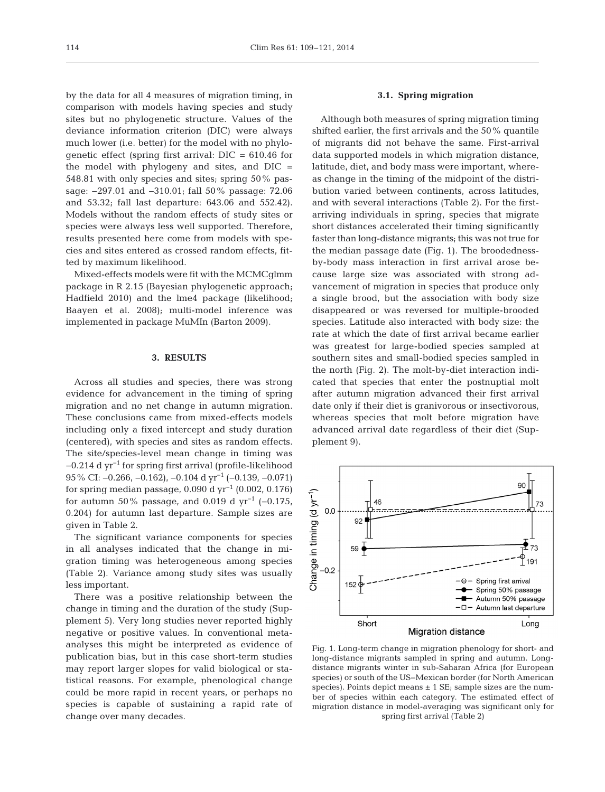by the data for all 4 measures of migration timing, in comparison with models having species and study sites but no phylogenetic structure. Values of the deviance information criterion (DIC) were always much lower (i.e. better) for the model with no phylogenetic effect (spring first arrival: DIC = 610.46 for the model with phylogeny and sites, and DIC = 548.81 with only species and sites; spring 50% passage: −297.01 and −310.01; fall 50% passage: 72.06 and 53.32; fall last departure: 643.06 and 552.42). Models without the random effects of study sites or species were always less well supported. Therefore, results presented here come from models with species and sites entered as crossed random effects, fitted by maximum likelihood.

Mixed-effects models were fit with the MCMCglmm package in R 2.15 (Bayesian phylogenetic approach; Hadfield 2010) and the lme4 package (likelihood; Baayen et al. 2008); multi-model inference was implemented in package MuMIn (Barton 2009).

# **3. RESULTS**

Across all studies and species, there was strong evidence for advancement in the timing of spring migration and no net change in autumn migration. These conclusions came from mixed-effects models including only a fixed intercept and study duration (centered), with species and sites as random effects. The site/species-level mean change in timing was −0.214 d yr−1 for spring first arrival (profile-likelihood 95% CI: −0.266, −0.162), −0.104 d yr−1 (−0.139, −0.071) for spring median passage, 0.090 d yr<sup>-1</sup> (0.002, 0.176) for autumn 50% passage, and 0.019 d  $yr^{-1}$  (-0.175, 0.204) for autumn last departure. Sample sizes are given in Table 2.

The significant variance components for species in all analyses indicated that the change in migration timing was heterogeneous among species (Table 2). Variance among study sites was usually less important.

There was a positive relationship between the change in timing and the duration of the study (Supplement 5). Very long studies never reported highly negative or positive values. In conventional metaanalyses this might be interpreted as evidence of publication bias, but in this case short-term studies may report larger slopes for valid biological or statistical reasons. For example, phenological change could be more rapid in recent years, or perhaps no species is capable of sustaining a rapid rate of change over many decades.

# **3.1. Spring migration**

Although both measures of spring migration timing shifted earlier, the first arrivals and the 50% quantile of migrants did not behave the same. First-arrival data supported models in which migration distance, latitude, diet, and body mass were important, where as change in the timing of the midpoint of the distribution varied between continents, across latitudes, and with several interactions (Table 2). For the firstarriving individuals in spring, species that migrate short distances accelerated their timing significantly faster than long-distance migrants; this was not true for the median passage date (Fig. 1). The broodednessby-body mass interaction in first arrival arose be cause large size was associated with strong advancement of migration in species that produce only a single brood, but the association with body size disappeared or was reversed for multiple-brooded species. Latitude also interacted with body size: the rate at which the date of first arrival became earlier was greatest for large-bodied species sampled at southern sites and small-bodied species sampled in the north (Fig. 2). The molt-by-diet interaction indicated that species that enter the postnuptial molt after autumn migration advanced their first arrival date only if their diet is granivorous or insectivorous, whereas species that molt before migration have advanced arrival date regardless of their diet (Supplement 9).



Fig. 1. Long-term change in migration phenology for short- and long-distance migrants sampled in spring and autumn. Longdistance migrants winter in sub-Saharan Africa (for European species) or south of the US−Mexican border (for North American species). Points depict means  $\pm$  1 SE; sample sizes are the number of species within each category. The estimated effect of migration distance in model-averaging was significant only for spring first arrival (Table 2)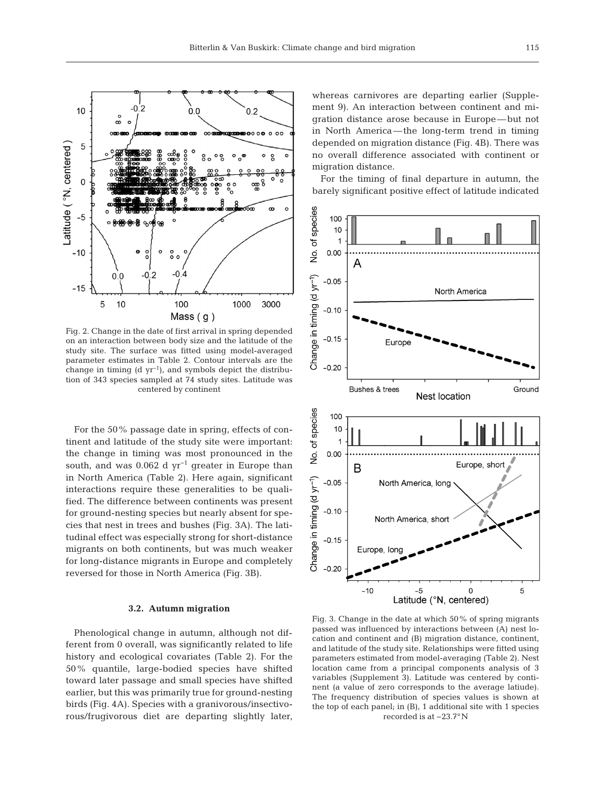

Fig. 2. Change in the date of first arrival in spring depended on an interaction between body size and the latitude of the study site. The surface was fitted using model-averaged parameter estimates in Table 2. Contour intervals are the change in timing (d  $yr^{-1}$ ), and symbols depict the distribution of 343 species sampled at 74 study sites. Latitude was centered by continent

For the 50% passage date in spring, effects of continent and latitude of the study site were important: the change in timing was most pronounced in the south, and was 0.062 d  $yr^{-1}$  greater in Europe than in North America (Table 2). Here again, significant interactions require these generalities to be qualified. The difference between continents was present for ground-nesting species but nearly absent for species that nest in trees and bushes (Fig. 3A). The latitudinal effect was especially strong for short-distance migrants on both continents, but was much weaker for long-distance migrants in Europe and completely reversed for those in North America (Fig. 3B).

#### **3.2. Autumn migration**

Phenological change in autumn, although not different from 0 overall, was significantly related to life history and ecological covariates (Table 2). For the 50% quantile, large-bodied species have shifted toward later passage and small species have shifted earlier, but this was primarily true for ground-nesting birds (Fig. 4A). Species with a granivorous/insectivorous/frugivorous diet are departing slightly later, whereas carnivores are departing earlier (Supplement 9). An interaction between continent and migration distance arose because in Europe—but not in North America—the long-term trend in timing depended on migration distance (Fig. 4B). There was no overall difference associated with continent or migration distance.

For the timing of final departure in autumn, the barely significant positive effect of latitude indicated



Fig. 3. Change in the date at which 50% of spring migrants passed was influenced by interactions between (A) nest location and continent and (B) migration distance, continent, and latitude of the study site. Relationships were fitted using para meters estimated from model-averaging (Table 2). Nest location came from a principal components analysis of 3 variables (Supplement 3). Latitude was centered by continent (a value of zero corresponds to the average latiude). The frequency distribution of species values is shown at the top of each panel; in (B), 1 additional site with 1 species recorded is at −23.7°N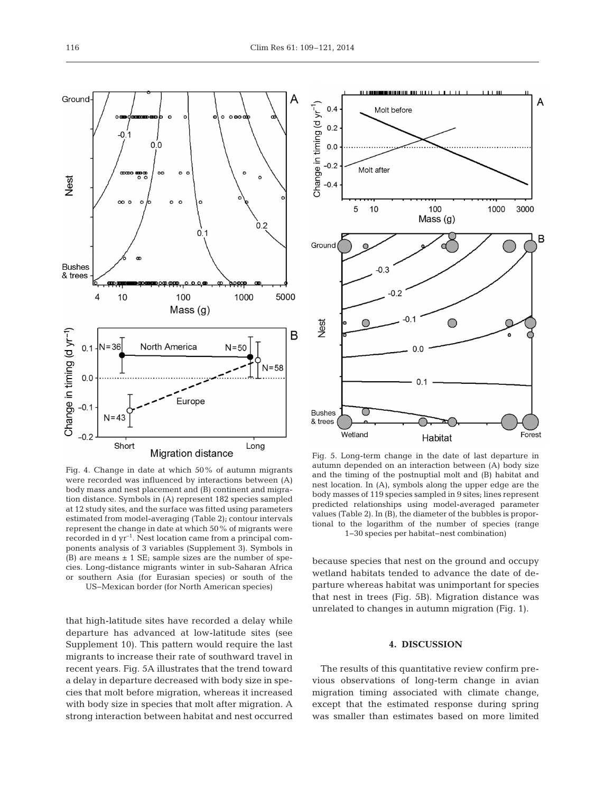$\circ$ 

 $02$ 

5000

 $N = 58$ 

Long

1000

 $N = 50$ 

Fig. 4. Change in date at which 50% of autumn migrants were recorded was influenced by interactions between (A) body mass and nest placement and (B) continent and migration distance. Symbols in (A) represent 182 species sampled at 12 study sites, and the surface was fitted using parameters estimated from model-averaging (Table 2); contour intervals represent the change in date at which 50% of migrants were recorded in  $dyr^{-1}$ . Nest location came from a principal components analysis of 3 variables (Supplement 3). Symbols in (B) are means  $\pm$  1 SE; sample sizes are the number of species. Long-distance migrants winter in sub-Saharan Africa or southern Asia (for Eurasian species) or south of the US−Mexican border (for North American species)

that high-latitude sites have recorded a delay while departure has advanced at low-latitude sites (see Supplement 10). This pattern would require the last migrants to increase their rate of southward travel in recent years. Fig. 5A illustrates that the trend toward a delay in departure decreased with body size in species that molt before migration, whereas it increased with body size in species that molt after migration. A strong interaction between habitat and nest occurred



Fig. 5. Long-term change in the date of last departure in autumn depended on an interaction between (A) body size and the timing of the postnuptial molt and (B) habitat and nest location. In (A), symbols along the upper edge are the body masses of 119 species sampled in 9 sites; lines represent predicted relationships using model-averaged parameter values (Table 2). In (B), the diameter of the bubbles is proportional to the logarithm of the number of species (range 1−30 species per habitat−nest combination)

because species that nest on the ground and occupy wetland habitats tended to advance the date of departure whereas habitat was unimportant for species that nest in trees (Fig. 5B). Migration distance was unrelated to changes in autumn migration (Fig. 1).

# **4. DISCUSSION**

The results of this quantitative review confirm previous observations of long-term change in avian migration timing associated with climate change, except that the estimated response during spring was smaller than estimates based on more limited

Ground

Nest

**Bushes** & trees

Change in timing (d yr<sup>-1</sup>

4

 $0.1$ 

 $0.0$ 

 $-0.1$ 

 $-0.2$ 

-0.

 $\infty$ 

10

Short

 $\frac{\text{monom}}{\text{O}}$ 

 $0.0$ 

 $\circ$ 

 $\circ$ 

100

North America

Mass (g)

Europe

Migration distance

 $0.1$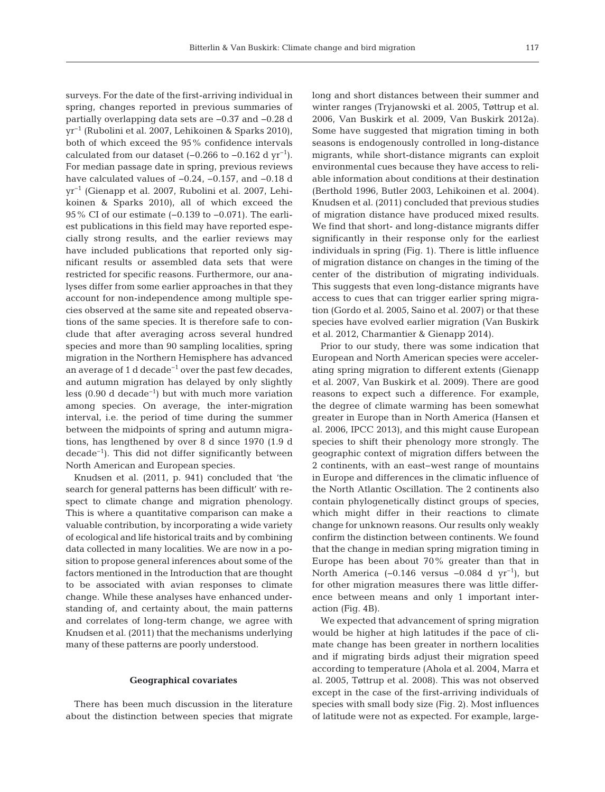surveys. For the date of the first-arriving individual in spring, changes reported in previous summaries of partially overlapping data sets are −0.37 and −0.28 d yr−1 (Rubolini et al. 2007, Lehikoinen & Sparks 2010), both of which exceed the 95% confidence intervals calculated from our dataset  $(-0.266$  to  $-0.162$  d yr<sup>-1</sup>). For median passage date in spring, previous reviews have calculated values of −0.24, −0.157, and −0.18 d yr−1 (Gienapp et al. 2007, Rubolini et al. 2007, Lehi koinen & Sparks 2010), all of which exceed the 95% CI of our estimate (-0.139 to -0.071). The earliest publications in this field may have reported especially strong results, and the earlier reviews may have included publications that reported only significant results or assembled data sets that were restricted for specific reasons. Furthermore, our ana lyses differ from some earlier approaches in that they account for non-independence among multiple species observed at the same site and repeated observations of the same species. It is therefore safe to conclude that after averaging across several hundred species and more than 90 sampling localities, spring migration in the Northern Hemisphere has advanced an average of 1 d decade<sup>-1</sup> over the past few decades, and autumn migration has delayed by only slightly less (0.90 d decade−1) but with much more variation among species. On average, the inter-migration interval, i.e. the period of time during the summer between the midpoints of spring and autumn migrations, has lengthened by over 8 d since 1970 (1.9 d decade−1). This did not differ significantly between North American and European species.

Knudsen et al. (2011, p. 941) concluded that 'the search for general patterns has been difficult' with respect to climate change and migration phenology. This is where a quantitative comparison can make a valuable contribution, by incorporating a wide variety of ecological and life historical traits and by combining data collected in many localities. We are now in a position to propose general inferences about some of the factors mentioned in the Introduction that are thought to be associated with avian responses to climate change. While these analyses have enhanced understanding of, and certainty about, the main patterns and correlates of long-term change, we agree with Knudsen et al. (2011) that the mechanisms underlying many of these patterns are poorly understood.

#### **Geographical covariates**

There has been much discussion in the literature about the distinction between species that migrate long and short distances between their summer and winter ranges (Tryjanowski et al. 2005, Tøttrup et al. 2006, Van Buskirk et al. 2009, Van Buskirk 2012a). Some have suggested that migration timing in both seasons is endogenously controlled in long-distance migrants, while short-distance migrants can exploit environmental cues because they have access to reliable information about conditions at their destination (Berthold 1996, Butler 2003, Lehikoinen et al. 2004). Knudsen et al. (2011) concluded that previous studies of migration distance have produced mixed results. We find that short- and long-distance migrants differ significantly in their response only for the earliest individuals in spring (Fig. 1). There is little influence of migration distance on changes in the timing of the center of the distribution of migrating individuals. This suggests that even long-distance migrants have access to cues that can trigger earlier spring migration (Gordo et al. 2005, Saino et al. 2007) or that these species have evolved earlier migration (Van Buskirk et al. 2012, Charmantier & Gienapp 2014).

Prior to our study, there was some indication that European and North American species were accelerating spring migration to different extents (Gienapp et al. 2007, Van Buskirk et al. 2009). There are good reasons to expect such a difference. For example, the degree of climate warming has been somewhat greater in Europe than in North America (Hansen et al. 2006, IPCC 2013), and this might cause European species to shift their phenology more strongly. The geographic context of migration differs between the 2 continents, with an east−west range of mountains in Europe and differences in the climatic influence of the North Atlantic Oscillation. The 2 continents also contain phylogenetically distinct groups of species, which might differ in their reactions to climate change for unknown reasons. Our results only weakly confirm the distinction between continents. We found that the change in median spring migration timing in Europe has been about 70% greater than that in North America (−0.146 versus −0.084 d yr−1), but for other migration measures there was little difference between means and only 1 important interaction (Fig. 4B).

We expected that advancement of spring migration would be higher at high latitudes if the pace of climate change has been greater in northern localities and if migrating birds adjust their migration speed ac cording to temperature (Ahola et al. 2004, Marra et al. 2005, Tøttrup et al. 2008). This was not observed except in the case of the first-arriving individuals of species with small body size (Fig. 2). Most influences of latitude were not as expected. For example, large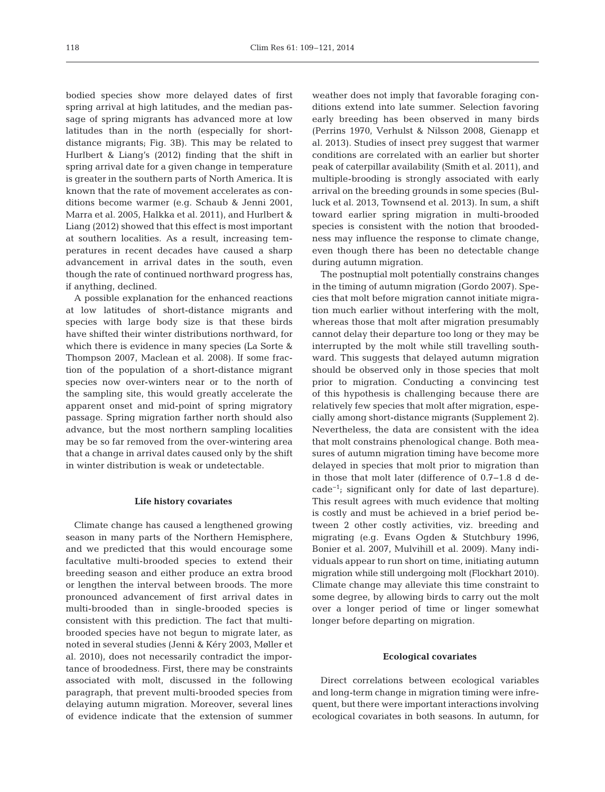bodied species show more delayed dates of first spring arrival at high latitudes, and the median passage of spring migrants has advanced more at low latitudes than in the north (especially for shortdistance migrants; Fig. 3B). This may be related to Hurlbert & Liang's (2012) finding that the shift in spring arrival date for a given change in temperature is greater in the southern parts of North America. It is known that the rate of movement accelerates as conditions become warmer (e.g. Schaub & Jenni 2001, Marra et al. 2005, Halkka et al. 2011), and Hurlbert & Liang (2012) showed that this effect is most important at southern localities. As a result, increasing temperatures in recent decades have caused a sharp advancement in arrival dates in the south, even though the rate of continued northward progress has, if anything, declined.

A possible explanation for the enhanced reactions at low latitudes of short-distance migrants and species with large body size is that these birds have shifted their winter distributions northward, for which there is evidence in many species (La Sorte & Thompson 2007, Maclean et al. 2008). If some fraction of the population of a short-distance migrant species now over-winters near or to the north of the sampling site, this would greatly accelerate the apparent onset and mid-point of spring migratory passage. Spring migration farther north should also advance, but the most northern sampling localities may be so far removed from the over-wintering area that a change in arrival dates caused only by the shift in winter distribution is weak or undetectable.

#### **Life history covariates**

Climate change has caused a lengthened growing season in many parts of the Northern Hemisphere, and we predicted that this would encourage some facultative multi-brooded species to extend their breeding season and either produce an extra brood or lengthen the interval between broods. The more pronounced advancement of first arrival dates in multi-brooded than in single-brooded species is consistent with this prediction. The fact that multibrooded species have not begun to migrate later, as noted in several studies (Jenni & Kéry 2003, Møller et al. 2010), does not necessarily contradict the importance of broodedness. First, there may be constraints associated with molt, discussed in the following paragraph, that prevent multi-brooded species from delaying autumn migration. Moreover, several lines of evidence indicate that the extension of summer

weather does not imply that favorable foraging conditions extend into late summer. Selection favoring early breeding has been observed in many birds (Perrins 1970, Verhulst & Nilsson 2008, Gienapp et al. 2013). Studies of insect prey suggest that warmer conditions are correlated with an earlier but shorter peak of caterpillar availability (Smith et al. 2011), and multiple-brooding is strongly associated with early arrival on the breeding grounds in some species (Bulluck et al. 2013, Townsend et al. 2013). In sum, a shift toward earlier spring migration in multi-brooded species is consistent with the notion that broodedness may influence the response to climate change, even though there has been no detectable change during autumn migration.

The postnuptial molt potentially constrains changes in the timing of autumn migration (Gordo 2007). Species that molt before migration cannot initiate migration much earlier without interfering with the molt, whereas those that molt after migration presumably cannot delay their departure too long or they may be interrupted by the molt while still travelling southward. This suggests that delayed autumn migration should be observed only in those species that molt prior to migration. Conducting a convincing test of this hypothesis is challenging because there are relatively few species that molt after migration, especially among short-distance migrants (Supplement 2). Nevertheless, the data are consistent with the idea that molt constrains phenological change. Both mea sures of autumn migration timing have become more delayed in species that molt prior to migration than in those that molt later (difference of 0.7−1.8 d de cade−1; significant only for date of last departure). This result agrees with much evidence that molting is costly and must be achieved in a brief period be tween 2 other costly activities, viz. breeding and migrating (e.g. Evans Ogden & Stutchbury 1996, Bonier et al. 2007, Mulvihill et al. 2009). Many individuals appear to run short on time, initiating autumn migration while still undergoing molt (Flockhart 2010). Climate change may alleviate this time constraint to some degree, by allowing birds to carry out the molt over a longer period of time or linger somewhat longer before departing on migration.

## **Ecological covariates**

Direct correlations between ecological variables and long-term change in migration timing were infrequent, but there were important interactions involving ecological covariates in both seasons. In autumn, for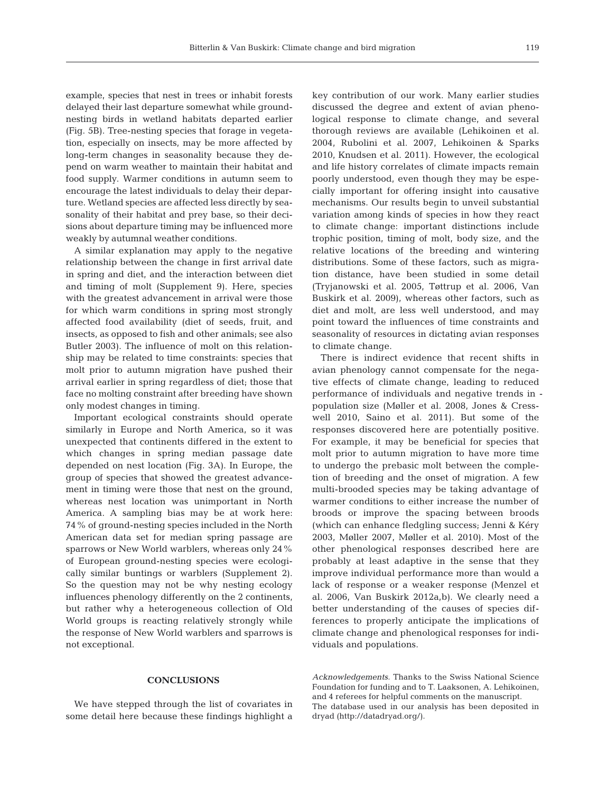example, species that nest in trees or inhabit forests delayed their last departure somewhat while groundnesting birds in wetland habitats departed earlier (Fig. 5B). Tree-nesting species that forage in vegetation, especially on insects, may be more affected by long-term changes in seasonality because they depend on warm weather to maintain their habitat and food supply. Warmer conditions in autumn seem to encourage the latest individuals to delay their departure. Wetland species are affected less directly by seasonality of their habitat and prey base, so their decisions about departure timing may be influenced more weakly by autumnal weather conditions.

A similar explanation may apply to the negative relationship between the change in first arrival date in spring and diet, and the interaction between diet and timing of molt (Supplement 9). Here, species with the greatest advancement in arrival were those for which warm conditions in spring most strongly affected food availability (diet of seeds, fruit, and insects, as opposed to fish and other animals; see also Butler 2003). The influence of molt on this relationship may be related to time constraints: species that molt prior to autumn migration have pushed their arrival earlier in spring regardless of diet; those that face no molting constraint after breeding have shown only modest changes in timing.

Important ecological constraints should operate similarly in Europe and North America, so it was unexpected that continents differed in the extent to which changes in spring median passage date depended on nest location (Fig. 3A). In Europe, the group of species that showed the greatest advancement in timing were those that nest on the ground, whereas nest location was unimportant in North America. A sampling bias may be at work here: 74% of ground-nesting species included in the North American data set for median spring passage are sparrows or New World warblers, whereas only 24% of European ground-nesting species were ecologically similar buntings or warblers (Supplement 2). So the question may not be why nesting ecology influences phenology differently on the 2 continents, but rather why a heterogeneous collection of Old World groups is reacting relatively strongly while the response of New World warblers and sparrows is not exceptional.

#### **CONCLUSIONS**

We have stepped through the list of covariates in some detail here because these findings highlight a key contribution of our work. Many earlier studies discussed the degree and extent of avian phenological response to climate change, and several thorough reviews are available (Lehikoinen et al. 2004, Rubolini et al. 2007, Lehikoinen & Sparks 2010, Knudsen et al. 2011). However, the ecological and life history correlates of climate impacts remain poorly understood, even though they may be especially important for offering insight into causative mechanisms. Our results begin to unveil substantial variation among kinds of species in how they react to climate change: important distinctions include trophic position, timing of molt, body size, and the relative locations of the breeding and wintering distributions. Some of these factors, such as migration distance, have been studied in some detail (Tryja nowski et al. 2005, Tøttrup et al. 2006, Van Buskirk et al. 2009), whereas other factors, such as diet and molt, are less well understood, and may point toward the influences of time constraints and seasonality of resources in dictating avian responses to climate change.

There is indirect evidence that recent shifts in avian phenology cannot compensate for the negative effects of climate change, leading to reduced performance of individuals and negative trends in population size (Møller et al. 2008, Jones & Cresswell 2010, Saino et al. 2011). But some of the responses discovered here are potentially positive. For example, it may be beneficial for species that molt prior to autumn migration to have more time to undergo the prebasic molt between the completion of breeding and the onset of migration. A few multi-brooded species may be taking advantage of warmer conditions to either increase the number of broods or improve the spacing between broods (which can enhance fledgling success; Jenni & Kéry 2003, Møller 2007, Møller et al. 2010). Most of the other phenological responses described here are probably at least adaptive in the sense that they improve individual performance more than would a lack of response or a weaker response (Menzel et al. 2006, Van Buskirk 2012a,b). We clearly need a better understanding of the causes of species differences to properly anticipate the implications of climate change and phenological responses for individuals and populations.

*Acknowledgements.* Thanks to the Swiss National Science Foundation for funding and to T. Laaksonen, A. Lehikoinen, and 4 referees for helpful comments on the manuscript. The database used in our analysis has been deposited in dryad (http://datadryad.org/).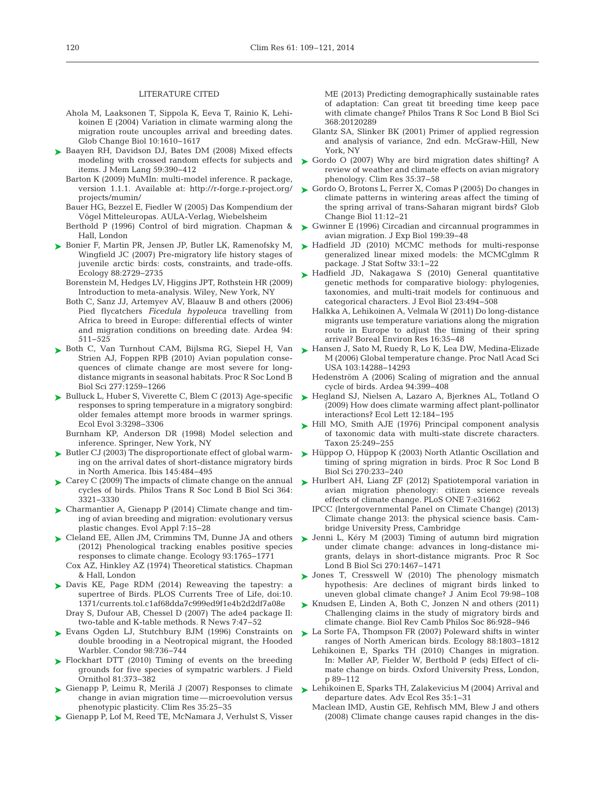#### LITERATURE CITED

- Ahola M, Laaksonen T, Sippola K, Eeva T, Rainio K, Lehi koinen E (2004) Variation in climate warming along the migration route uncouples arrival and breeding dates. Glob Change Biol 10: 1610−1617
- ► [Baayen RH, Davidson DJ, Bates DM \(2008\) Mixed effects](http://dx.doi.org/10.1016/j.jml.2007.12.005) modeling with crossed random effects for subjects and items. J Mem Lang 59:390-412
	- Barton K (2009) MuMIn: multi-model inference. R package, version 1.1.1. Available at: http://r-forge.r-project.org/ projects/ mumin/
	- Bauer HG, Bezzel E, Fiedler W (2005) Das Kompendium der Vögel Mitteleuropas. AULA-Verlag, Wiebelsheim
	- Berthold P (1996) Control of bird migration. Chapman & Hall, London
- ► [Bonier F, Martin PR, Jensen JP, Butler LK, Ramenofsky M,](http://dx.doi.org/10.1890/07-0696.1) Wingfield JC (2007) Pre-migratory life history stages of juvenile arctic birds: costs, constraints, and trade-offs. Ecology 88: 2729−2735
	- Borenstein M, Hedges LV, Higgins JPT, Rothstein HR (2009) Introduction to meta-analysis. Wiley, New York, NY
	- Both C, Sanz JJ, Artemyev AV, Blaauw B and others (2006) Pied flycatchers *Ficedula hypoleuca* travelling from Africa to breed in Europe: differential effects of winter and migration conditions on breeding date. Ardea 94: 511−525
- ► [Both C, Van Turnhout CAM, Bijlsma RG, Siepel H, Van](http://dx.doi.org/10.1098/rspb.2009.1525) Strien AJ, Foppen RPB (2010) Avian population consequences of climate change are most severe for longdistance migrants in seasonal habitats. Proc R Soc Lond B Biol Sci 277: 1259−1266
- ► [Bulluck L, Huber S, Viverette C, Blem C \(2013\) Age-specific](http://www.ncbi.nlm.nih.gov/entrez/query.fcgi?cmd=Retrieve&db=PubMed&list_uids=24223269&dopt=Abstract) responses to spring temperature in a migratory songbird: older females attempt more broods in warmer springs. Ecol Evol 3: 3298−3306
	- Burnham KP, Anderson DR (1998) Model selection and inference. Springer, New York, NY
- ► [Butler CJ \(2003\) The disproportionate effect of global warm](http://dx.doi.org/10.1046/j.1474-919X.2003.00193.x)ing on the arrival dates of short-distance migratory birds in North America. Ibis 145: 484−495
- ► [Carey C \(2009\) The impacts of climate change on the annual](http://dx.doi.org/10.1098/rstb.2009.0182) cycles of birds. Philos Trans R Soc Lond B Biol Sci 364: 3321−3330
- ► [Charmantier A, Gienapp P \(2014\) Climate change and tim](http://dx.doi.org/10.1111/eva.12126)ing of avian breeding and migration: evolutionary versus plastic changes. Evol Appl 7: 15−28
- ► [Cleland EE, Allen JM, Crimmins TM, Dunne JA and others](http://dx.doi.org/10.1890/11-1912.1) (2012) Phenological tracking enables positive species responses to climate change. Ecology 93: 1765−1771 Cox AZ, Hinkley AZ (1974) Theoretical statistics. Chapman
- & Hall, London [Davis KE, Page RDM \(2014\) Reweaving the tapestry: a](http://dx.doi.org/10.1371/currents.tol.c1af68dda7c999ed9f1e4b2d2df7a08e) ➤
- supertree of Birds. PLOS Currents Tree of Life, doi:10. 1371/ currents.tol.c1af68dda7c999ed9f1e4b2d2df7a08e Dray S, Dufour AB, Chessel D (2007) The ade4 package II: two-table and K-table methods. R News 7:47-52
- ► [Evans Ogden LJ, Stutchbury BJM \(1996\) Constraints on](http://dx.doi.org/10.2307/1369855) double brooding in a Neotropical migrant, the Hooded Warbler. Condor 98:736-744
- ▶ [Flockhart DTT \(2010\) Timing of events on the breeding](http://dx.doi.org/10.1111/j.1557-9263.2010.00293.x) grounds for five species of sympatric warblers. J Field Ornithol 81: 373−382
- ► [Gienapp P, Leimu R, Merilä J \(2007\) Responses to climate](http://dx.doi.org/10.3354/cr00712) change in avian migration time—microevolution versus phenotypic plasticity. Clim Res 35: 25−35
- ► [Gienapp P, Lof M, Reed TE, McNamara J, Verhulst S, Visser](http://dx.doi.org/10.1098/rstb.2012.0289)

ME (2013) Predicting demographically sustainable rates of adaptation:Can great tit breeding time keep pace with climate change? Philos Trans R Soc Lond B Biol Sci 368: 20120289

- Glantz SA, Slinker BK (2001) Primer of applied regression and analysis of variance, 2nd edn. McGraw-Hill, New York, NY
- [Gordo O \(2007\) Why are bird migration dates shifting? A](http://dx.doi.org/10.3354/cr00713) review of weather and climate effects on avian migratory phenology. Clim Res 35: 37−58 ➤
- ► [Gordo O, Brotons L, Ferrer X, Comas P \(2005\) Do changes in](http://dx.doi.org/10.1111/j.1365-2486.2004.00875.x) climate patterns in wintering areas affect the timing of the spring arrival of trans-Saharan migrant birds? Glob Change Biol 11: 12−21
- [Gwinner E \(1996\) Circadian and circannual programmes in](http://www.ncbi.nlm.nih.gov/entrez/query.fcgi?cmd=Retrieve&db=PubMed&list_uids=9317295&dopt=Abstract) avian migration. J Exp Biol 199:39-48 ➤
- ► [Hadfield JD \(2010\) MCMC methods for multi-response](http://www.ncbi.nlm.nih.gov/entrez/query.fcgi?cmd=Retrieve&db=PubMed&list_uids=20808728&dopt=Abstract) generalized linear mixed models: the MCMCglmm R package. J Stat Softw 33: 1−22
- ► [Hadfield JD, Nakagawa S \(2010\) General quantitative](http://dx.doi.org/10.1111/j.1420-9101.2009.01915.x) genetic methods for comparative biology: phylogenies, taxonomies, and multi-trait models for continuous and categorical characters. J Evol Biol 23: 494−508
	- Halkka A, Lehikoinen A, Velmala W (2011) Do long-distance migrants use temperature variations along the migration route in Europe to adjust the timing of their spring arrival? Boreal Environ Res 16: 35−48
- ► [Hansen J, Sato M, Ruedy R, Lo K, Lea DW, Medina-Elizade](http://dx.doi.org/10.1073/pnas.0606291103) [M \(2006\) Global temperature change. Proc Natl Acad Sci](http://dx.doi.org/10.1111/j.1365-2486.2004.00823.x) USA 103: 14288−14293
	- Hedenström A (2006) Scaling of migration and the annual cycle of birds. Ardea 94: 399−408
- ▶ [Hegland SJ, Nielsen A, Lazaro A, Bjerknes AL, Totland O](http://dx.doi.org/10.1111/j.1461-0248.2008.01269.x) (2009) How does climate warming affect plant-pollinator interactions? Ecol Lett 12: 184−195
- ► [Hill MO, Smith AJE \(1976\) Principal component analysis](http://dx.doi.org/10.2307/1219449) of taxonomic data with multi-state discrete characters. Taxon 25:249-255
- ► [Hüppop O, Hüppop K \(2003\) North Atlantic Oscillation and](http://dx.doi.org/10.1098/rspb.2002.2236) timing of spring migration in birds. Proc R Soc Lond B Biol Sci 270:233-240
- ▶ [Hurlbert AH, Liang ZF \(2012\) Spatiotemporal variation in](http://dx.doi.org/10.1371/journal.pone.0031662) avian migration phenology: citizen science reveals effects of climate change. PLoS ONE 7: e31662
	- IPCC (Intergovernmental Panel on Climate Change) (2013) Climate change 2013: the physical science basis. Cambridge University Press, Cambridge
- [Jenni L, Kéry M \(2003\) Timing of autumn bird migration](http://dx.doi.org/10.1098/rspb.2003.2394) ➤ under climate change: advances in long-distance migrants, delays in short-distance migrants. Proc R Soc Lond B Biol Sci 270: 1467−1471
- ▶ [Jones T, Cresswell W \(2010\) The phenology mismatch](http://dx.doi.org/10.1111/j.1365-2656.2009.01610.x) hypothesis:Are declines of migrant birds linked to uneven global climate change? J Anim Ecol 79:98-108
- ► [Knudsen E, Linden A, Both C, Jonzen N and others \(2011\)](http://dx.doi.org/10.1111/j.1469-185X.2011.00179.x) Challenging claims in the study of migratory birds and climate change. Biol Rev Camb Philos Soc 86: 928−946
- ► [La Sorte FA, Thompson FR \(2007\) Poleward shifts in winter](http://dx.doi.org/10.1890/06-1072.1) ranges of North American birds. Ecology 88: 1803−1812
	- Lehikoinen E, Sparks TH (2010) Changes in migration. In: Møller AP, Fielder W, Berthold P (eds) Effect of climate change on birds. Oxford University Press, London, p 89−112
- [Lehikoinen E, Sparks TH, Zalakevicius M \(2004\) Arrival and](http://dx.doi.org/10.1016/S0065-2504(04)35001-4) ➤departure dates. Adv Ecol Res 35: 1−31
	- Maclean IMD, Austin GE, Rehfisch MM, Blew J and others (2008) Climate change causes rapid changes in the dis -